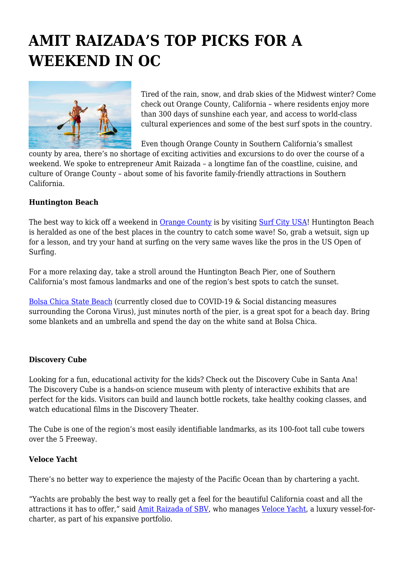# **AMIT RAIZADA'S TOP PICKS FOR A WEEKEND IN OC**



Tired of the rain, snow, and drab skies of the Midwest winter? Come check out Orange County, California – where residents enjoy more than 300 days of sunshine each year, and access to world-class cultural experiences and some of the best surf spots in the country.

Even though Orange County in Southern California's smallest

county by area, there's no shortage of exciting activities and excursions to do over the course of a weekend. We spoke to entrepreneur Amit Raizada – a longtime fan of the coastline, cuisine, and culture of Orange County – about some of his favorite family-friendly attractions in Southern California.

## **Huntington Beach**

The best way to kick off a weekend in **[Orange County](https://www.ocgov.com/)** is by visiting **[Surf City USA](https://www.surfcityusa.com/things-to-do/beaches/bolsa-chica-state-beach/)!** Huntington Beach is heralded as one of the best places in the country to catch some wave! So, grab a wetsuit, sign up for a lesson, and try your hand at surfing on the very same waves like the pros in the US Open of Surfing.

For a more relaxing day, take a stroll around the Huntington Beach Pier, one of Southern California's most famous landmarks and one of the region's best spots to catch the sunset.

[Bolsa Chica State Beach](https://www.parks.ca.gov/?page_id=642) (currently closed due to COVID-19 & Social distancing measures surrounding the Corona Virus), just minutes north of the pier, is a great spot for a beach day. Bring some blankets and an umbrella and spend the day on the white sand at Bolsa Chica.

## **Discovery Cube**

Looking for a fun, educational activity for the kids? Check out the Discovery Cube in Santa Ana! The Discovery Cube is a hands-on science museum with plenty of interactive exhibits that are perfect for the kids. Visitors can build and launch bottle rockets, take healthy cooking classes, and watch educational films in the Discovery Theater.

The Cube is one of the region's most easily identifiable landmarks, as its 100-foot tall cube towers over the 5 Freeway.

## **Veloce Yacht**

There's no better way to experience the majesty of the Pacific Ocean than by chartering a yacht.

"Yachts are probably the best way to really get a feel for the beautiful California coast and all the attractions it has to offer," said [Amit Raizada of SBV,](https://sbv.com/about/amit-raizada/) who manages [Veloce Yacht,](http://www.veloceyacht.com/) a luxury vessel-forcharter, as part of his expansive portfolio.